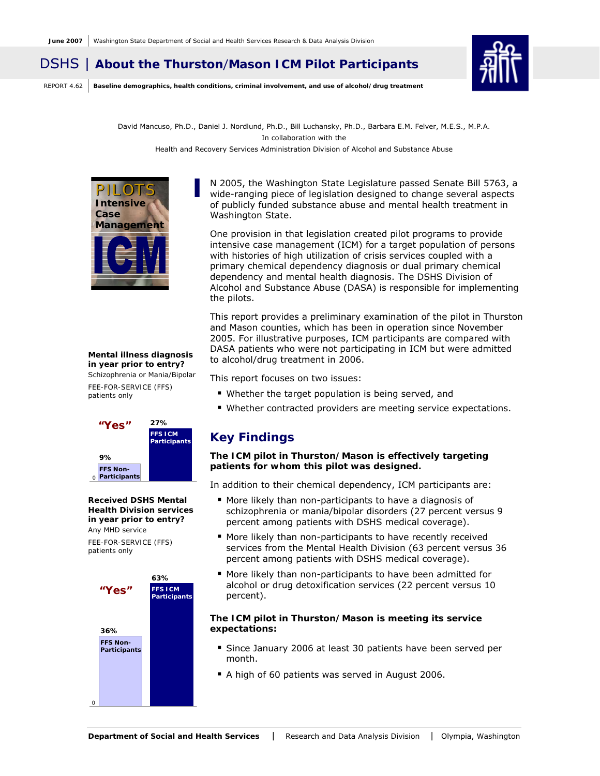# DSHS | **About the Thurston**/**Mason ICM Pilot Participants**

REPORT 4.62 **Baseline demographics, health conditions, criminal involvement, and use of alcohol/drug treatment**



David Mancuso, Ph.D., Daniel J. Nordlund, Ph.D., Bill Luchansky, Ph.D., Barbara E.M. Felver, M.E.S., M.P.A. In collaboration with the Health and Recovery Services Administration Division of Alcohol and Substance Abuse



#### *Mental illness diagnosis in year prior to entry?*  Schizophrenia or Mania/Bipolar

*FEE-FOR-SERVICE (FFS) patients only* 



#### *Received DSHS Mental Health Division services in year prior to entry?*  Any MHD service

*FEE-FOR-SERVICE (FFS) patients only* 



N 2005, the Washington State Legislature passed Senate Bill 5763, a w ide-ranging piece of legislation designed to change several aspects of publicly funded substance abuse and mental health treatment in Washington State.

One provision in that legislation created pilot programs to provide intensive case management (ICM) for a target population of persons with histories of high utilization of crisis services coupled with a primary chemical dependency diagnosis or dual primary chemical dependency and mental health diagnosis. The DSHS Division of Alcohol and Substance Abuse (DASA) is responsible for implementing the pilots.

This report provides a preliminary examination of the pilot in Thurston and Mason counties, which has been in operation since November 2005. For illustrative purposes, ICM participants are compared with DASA patients who were not participating in ICM but were admitted to alcohol/drug treatment in 2006.

This report focuses on two issues:

- Whether the target population is being served, and
- Whether contracted providers are meeting service expectations.

## **Key Findings**

#### *The ICM pilot in Thurston/Mason is effectively targeting patients for whom this pilot was designed.*

In addition to their chemical dependency, ICM participants are:

- More likely than non-participants to have a diagnosis of schizophrenia or mania/bipolar disorders (27 percent versus 9 percent among patients with DSHS medical coverage).
- More likely than non-participants to have recently received services from the Mental Health Division (63 percent versus 36 percent among patients with DSHS medical coverage).
- More likely than non-participants to have been admitted for alcohol or drug detoxification services (22 percent versus 10 percent).

#### *The ICM pilot in Thurston/Mason is meeting its service expectations:*

- Since January 2006 at least 30 patients have been served per month.
- A high of 60 patients was served in August 2006.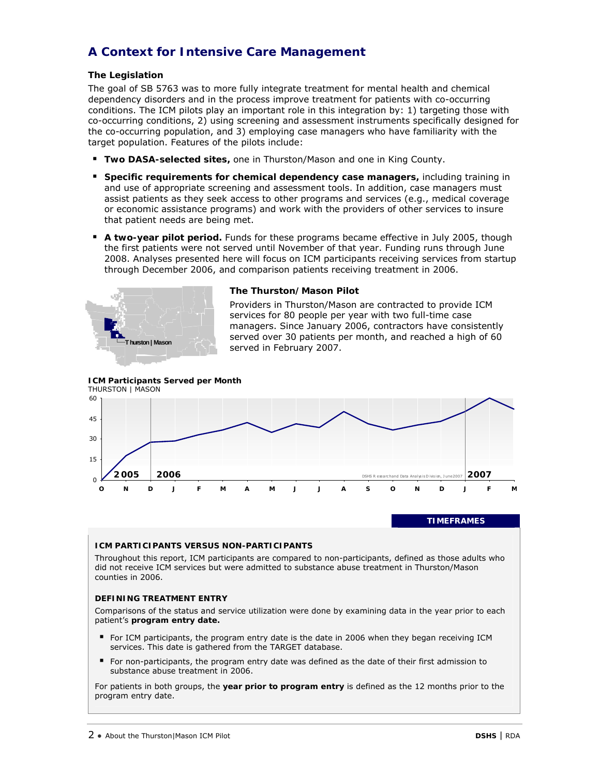# **A Context for Intensive Care Management**

## **The Legislation**

The goal of SB 5763 was to more fully integrate treatment for mental health and chemical dependency disorders and in the process improve treatment for patients with co-occurring conditions. The ICM pilots play an important role in this integration by: 1) targeting those with co-occurring conditions, 2) using screening and assessment instruments specifically designed for the co-occurring population, and 3) employing case managers who have familiarity with the target population. Features of the pilots include:

- **Two DASA-selected sites,** one in Thurston/Mason and one in King County.
- **Specific requirements for chemical dependency case managers,** including training in and use of appropriate screening and assessment tools. In addition, case managers must assist patients as they seek access to other programs and services (e.g., medical coverage or economic assistance programs) and work with the providers of other services to insure that patient needs are being met.
- **A two-year pilot period.** Funds for these programs became effective in July 2005, though the first patients were not served until November of that year. Funding runs through June 2008. Analyses presented here will focus on ICM participants receiving services from startup through December 2006, and comparison patients receiving treatment in 2006.



#### **The Thurston/Mason Pilot**

Providers in Thurston/Mason are contracted to provide ICM services for 80 people per year with two full-time case managers. Since January 2006, contractors have consistently served over 30 patients per month, and reached a high of 60 served in February 2007.





#### **ICM PARTICIPANTS VERSUS NON-PARTICIPANTS**

Throughout this report, ICM participants are compared to non-participants, defined as those adults who did not receive ICM services but were admitted to substance abuse treatment in Thurston/Mason counties in 2006.

#### **DEFINING TREATMENT ENTRY**

Comparisons of the status and service utilization were done by examining data in the year prior to each patient's **program entry date.** 

- For ICM participants, the program entry date is the date in 2006 when they began receiving ICM services. This date is gathered from the TARGET database.
- For non-participants, the program entry date was defined as the date of their first admission to substance abuse treatment in 2006.

For patients in both groups, the **year prior to program entry** is defined as the 12 months prior to the program entry date.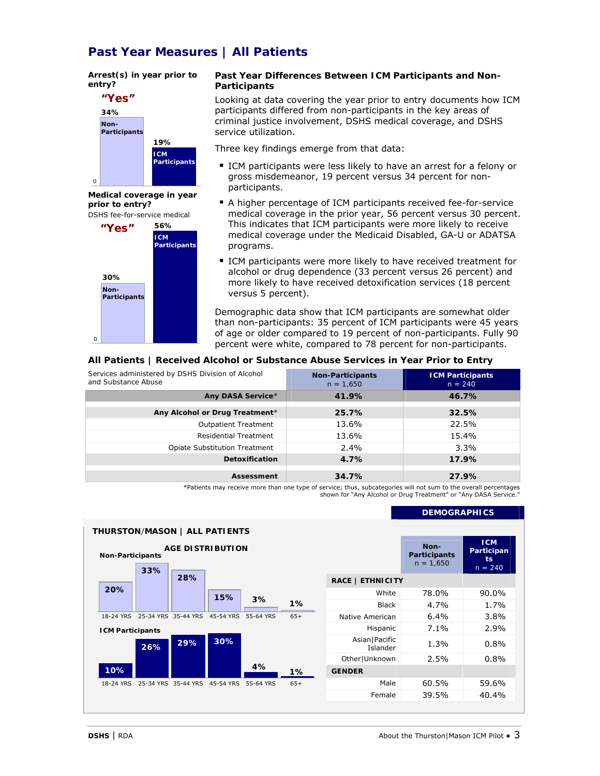## **Past Year Measures | All Patients**

#### *Arrest(s) in year prior to entry?*



*Medical coverage in year prior to entry?*  DSHS fee-for-service medical



#### **Past Year Differences Between ICM Participants and Non-Participants**

Looking at data covering the year prior to entry documents how ICM participants differed from non-participants in the key areas of criminal justice involvement, DSHS medical coverage, and DSHS service utilization.

Three key findings emerge from that data:

- **ICM** participants were less likely to have an arrest for a felony or gross misdemeanor, 19 percent versus 34 percent for nonparticipants.
- A higher percentage of ICM participants received fee-for-service medical coverage in the prior year, 56 percent versus 30 percent. This indicates that ICM participants were more likely to receive medical coverage under the Medicaid Disabled, GA-U or ADATSA programs.
- ICM participants were more likely to have received treatment for alcohol or drug dependence (33 percent versus 26 percent) and more likely to have received detoxification services (18 percent versus 5 percent).

Demographic data show that ICM participants are somewhat older than non-participants: 35 percent of ICM participants were 45 years of age or older compared to 19 percent of non-participants. Fully 90 percent were white, compared to 78 percent for non-participants.

#### **All Patients | Received Alcohol or Substance Abuse Services in Year Prior to Entry**

| Services administered by DSHS Division of Alcohol<br>and Substance Abuse | <b>Non-Participants</b><br>$n = 1,650$ | <b>ICM Participants</b><br>$n = 240$ |
|--------------------------------------------------------------------------|----------------------------------------|--------------------------------------|
| Any DASA Service*                                                        | 41.9%                                  | 46.7%                                |
| Any Alcohol or Drug Treatment*                                           | 25.7%                                  | 32.5%                                |
| <b>Outpatient Treatment</b>                                              | 13.6%                                  | 22.5%                                |
| <b>Residential Treatment</b>                                             | 13.6%                                  | 15.4%                                |
| <b>Opiate Substitution Treatment</b>                                     | $2.4\%$                                | $3.3\%$                              |
| Detoxification                                                           | 4.7%                                   | 17.9%                                |
| Assessment                                                               | 34.7%                                  | 27.9%                                |

\*Patients may receive more than one type of service; thus, subcategories will not sum to the overall percentages shown for "Any Alcohol or Drug Treatment" or "Any DASA Service."

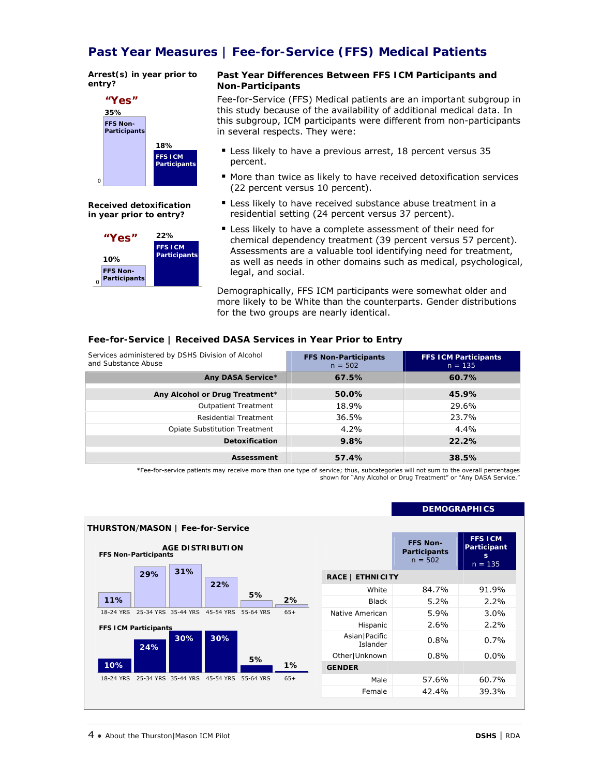## **Past Year Measures | Fee-for-Service (FFS) Medical Patients**

#### *Arrest(s) in year prior to entry?*



*Received detoxification in year prior to entry?* 



#### **Past Year Differences Between FFS ICM Participants and Non-Participants**

Fee-for-Service (FFS) Medical patients are an important subgroup in this study because of the availability of additional medical data. In this subgroup, ICM participants were different from non-participants in several respects. They were:

- **Example 13 Less likely to have a previous arrest, 18 percent versus 35** percent.
- More than twice as likely to have received detoxification services (22 percent versus 10 percent).
- **EXEC** Less likely to have received substance abuse treatment in a residential setting (24 percent versus 37 percent).
- Less likely to have a complete assessment of their need for chemical dependency treatment (39 percent versus 57 percent). Assessments are a valuable tool identifying need for treatment, as well as needs in other domains such as medical, psychological, legal, and social.

Demographically, FFS ICM participants were somewhat older and more likely to be White than the counterparts. Gender distributions for the two groups are nearly identical.

## **Fee-for-Service | Received DASA Services in Year Prior to Entry**

| Services administered by DSHS Division of Alcohol<br>and Substance Abuse | <b>FFS Non-Participants</b><br>$n = 502$ | <b>FFS ICM Participants</b><br>$n = 135$ |
|--------------------------------------------------------------------------|------------------------------------------|------------------------------------------|
| Any DASA Service*                                                        | 67.5%                                    | 60.7%                                    |
| Any Alcohol or Drug Treatment*                                           | 50.0%                                    | 45.9%                                    |
| <b>Outpatient Treatment</b>                                              | 18.9%                                    | 29.6%                                    |
| Residential Treatment                                                    | 36.5%                                    | 23.7%                                    |
| <b>Opiate Substitution Treatment</b>                                     | $4.2\%$                                  | $4.4\%$                                  |
| <b>Detoxification</b>                                                    | 9.8%                                     | 22.2%                                    |
| Assessment                                                               | 57.4%                                    | 38.5%                                    |

\*Fee-for-service patients may receive more than one type of service; thus, subcategories will not sum to the overall percentages shown for "Any Alcohol or Drug Treatment" or "Any DASA Service."

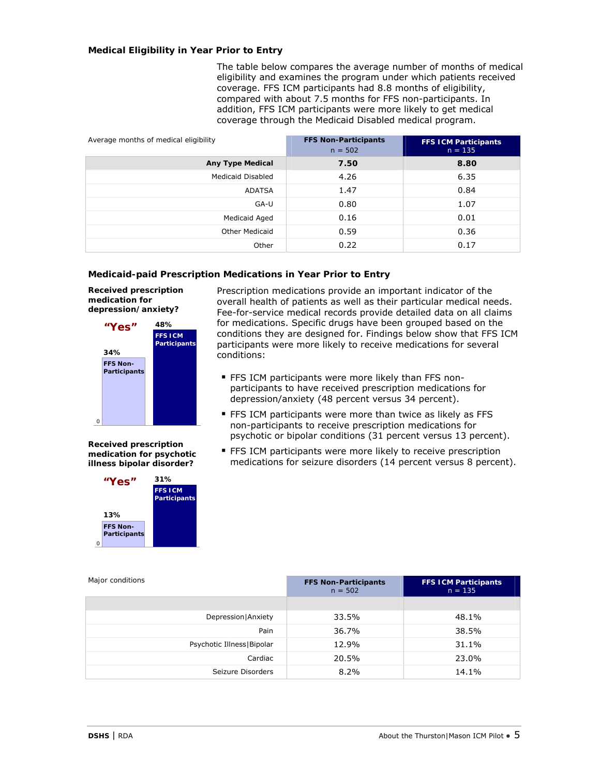#### **Medical Eligibility in Year Prior to Entry**

The table below compares the average number of months of medical eligibility and examines the program under which patients received coverage. FFS ICM participants had 8.8 months of eligibility, compared with about 7.5 months for FFS non-participants. In addition, FFS ICM participants were more likely to get medical coverage through the Medicaid Disabled medical program.

| Average months of medical eligibility | <b>FFS Non-Participants</b><br>$n = 502$ | <b>FFS ICM Participants</b><br>$n = 135$ |
|---------------------------------------|------------------------------------------|------------------------------------------|
| <b>Any Type Medical</b>               | 7.50                                     | 8.80                                     |
| Medicaid Disabled                     | 4.26                                     | 6.35                                     |
| ADATSA                                | 1.47                                     | 0.84                                     |
| GA-U                                  | 0.80                                     | 1.07                                     |
| Medicaid Aged                         | 0.16                                     | 0.01                                     |
| <b>Other Medicaid</b>                 | 0.59                                     | 0.36                                     |
| Other                                 | 0.22                                     | 0.17                                     |

#### **Medicaid-paid Prescription Medications in Year Prior to Entry**

*Received prescription medication for depression/anxiety?* 



*Received prescription medication for psychotic illness bipolar disorder?* 



Prescription medications provide an important indicator of the overall health of patients as well as their particular medical needs. Fee-for-service medical records provide detailed data on all claims for medications. Specific drugs have been grouped based on the conditions they are designed for. Findings below show that FFS ICM participants were more likely to receive medications for several conditions:

- **FFS ICM participants were more likely than FFS non**participants to have received prescription medications for depression/anxiety (48 percent versus 34 percent).
- **FFS ICM participants were more than twice as likely as FFS** non-participants to receive prescription medications for psychotic or bipolar conditions (31 percent versus 13 percent).
- **FFS ICM participants were more likely to receive prescription** medications for seizure disorders (14 percent versus 8 percent).

| Major conditions            | <b>FFS Non-Participants</b><br>$n = 502$ | <b>FFS ICM Participants</b><br>$n = 135$ |
|-----------------------------|------------------------------------------|------------------------------------------|
|                             |                                          |                                          |
| Depression   Anxiety        | 33.5%                                    | 48.1%                                    |
| Pain                        | 36.7%                                    | 38.5%                                    |
| Psychotic Illness   Bipolar | 12.9%                                    | 31.1%                                    |
| Cardiac                     | 20.5%                                    | 23.0%                                    |
| Seizure Disorders           | 8.2%                                     | 14.1%                                    |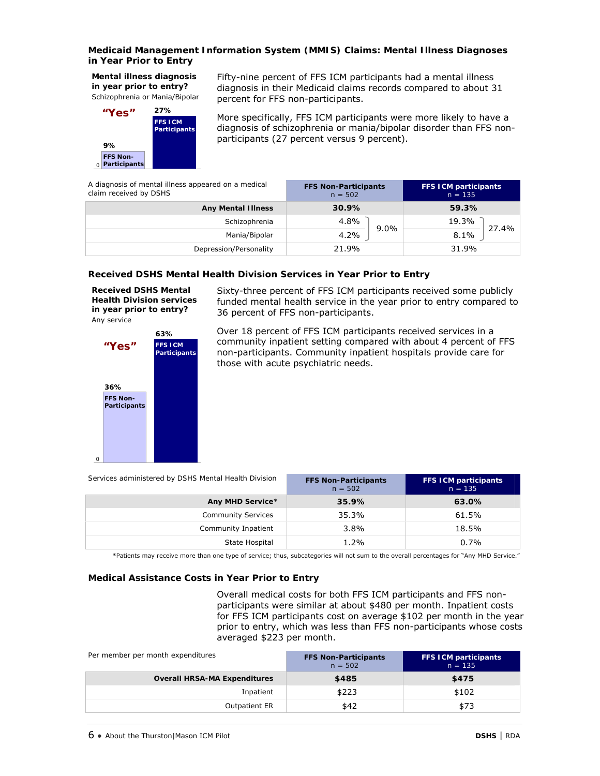#### **Medicaid Management Information System (MMIS) Claims: Mental Illness Diagnoses in Year Prior to Entry**

*Mental illness diagnosis in year prior to entry?*  Schizophrenia or Mania/Bipolar



Fifty-nine percent of FFS ICM participants had a mental illness diagnosis in their Medicaid claims records compared to about 31 percent for FFS non-participants.

More specifically, FFS ICM participants were more likely to have a diagnosis of schizophrenia or mania/bipolar disorder than FFS nonparticipants (27 percent versus 9 percent).

| A diagnosis of mental illness appeared on a medical<br>claim received by DSHS | <b>FFS Non-Participants</b><br>$n = 502$ | <b>FFS ICM participants</b><br>$n = 135$ |  |
|-------------------------------------------------------------------------------|------------------------------------------|------------------------------------------|--|
| <b>Any Mental Illness</b>                                                     | 30.9%                                    | 59.3%                                    |  |
| Schizophrenia                                                                 | 4.8%<br>$9.0\%$                          | 19.3%<br>27.4%                           |  |
| Mania/Bipolar                                                                 | 4.2%                                     | 8.1%                                     |  |
| Depression/Personality                                                        | 21.9%                                    | 31.9%                                    |  |

## **Received DSHS Mental Health Division Services in Year Prior to Entry**

*Received DSHS Mental Health Division services in year prior to entry?*  Any service



Sixty-three percent of FFS ICM participants received some publicly funded mental health service in the year prior to entry compared to 36 percent of FFS non-participants.

Over 18 percent of FFS ICM participants received services in a community inpatient setting compared with about 4 percent of FFS non-participants. Community inpatient hospitals provide care for those with acute psychiatric needs.

*Services administered by DSHS Mental Health Division* **FFS Non-Participants** 

| Services administered by DSHS Mental Health Division | <b>FFS Non-Participants</b><br>$n = 502$ | <b>FFS ICM participants</b><br>$n = 135$ |  |
|------------------------------------------------------|------------------------------------------|------------------------------------------|--|
| Any MHD Service*                                     | 35.9%                                    | 63.0%                                    |  |
| <b>Community Services</b>                            | 35.3%                                    | 61.5%                                    |  |
| Community Inpatient                                  | 3.8%                                     | 18.5%                                    |  |
| State Hospital                                       | 1.2%                                     | $0.7\%$                                  |  |

\*Patients may receive more than one type of service; thus, subcategories will not sum to the overall percentages for "Any MHD Service."

#### **Medical Assistance Costs in Year Prior to Entry**

Overall medical costs for both FFS ICM participants and FFS nonparticipants were similar at about \$480 per month. Inpatient costs for FFS ICM participants cost on average \$102 per month in the year prior to entry, which was less than FFS non-participants whose costs averaged \$223 per month.

| Per member per month expenditures   | <b>FFS Non-Participants</b><br>$n = 502$ | <b>FFS ICM participants</b><br>$n = 135$ |
|-------------------------------------|------------------------------------------|------------------------------------------|
| <b>Overall HRSA-MA Expenditures</b> | \$485                                    | \$475                                    |
| Inpatient                           | \$223                                    | \$102                                    |
| <b>Outpatient ER</b>                | \$42                                     | \$73                                     |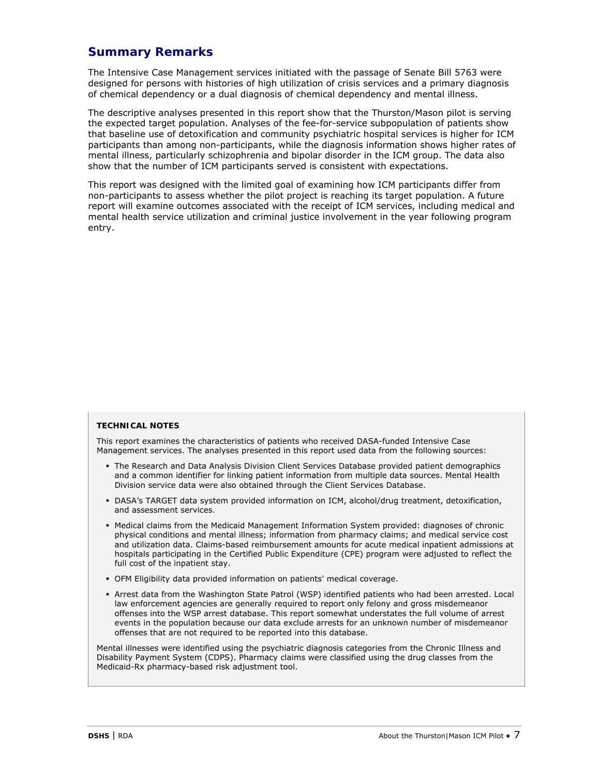## **Summary Remarks**

The Intensive Case Management services initiated with the passage of Senate Bill 5763 were designed for persons with histories of high utilization of crisis services and a primary diagnosis of chemical dependency or a dual diagnosis of chemical dependency and mental illness.

The descriptive analyses presented in this report show that the Thurston/Mason pilot is serving the expected target population. Analyses of the fee-for-service subpopulation of patients show that baseline use of detoxification and community psychiatric hospital services is higher for ICM participants than among non-participants, while the diagnosis information shows higher rates of mental illness, particularly schizophrenia and bipolar disorder in the ICM group. The data also show that the number of ICM participants served is consistent with expectations.

This report was designed with the limited goal of examining how ICM participants differ from non-participants to assess whether the pilot project is reaching its target population. A future report will examine outcomes associated with the receipt of ICM services, including medical and mental health service utilization and criminal justice involvement in the year following program entry.

#### **TECHNICAL NOTES**

This report examines the characteristics of patients who received DASA-funded Intensive Case Management services. The analyses presented in this report used data from the following sources:

- The Research and Data Analysis Division Client Services Database provided patient demographics and a common identifier for linking patient information from multiple data sources. Mental Health Division service data were also obtained through the Client Services Database.
- DASA's TARGET data system provided information on ICM, alcohol/drug treatment, detoxification, and assessment services.
- Medical claims from the Medicaid Management Information System provided: diagnoses of chronic physical conditions and mental illness; information from pharmacy claims; and medical service cost and utilization data. Claims-based reimbursement amounts for acute medical inpatient admissions at hospitals participating in the Certified Public Expenditure (CPE) program were adjusted to reflect the full cost of the inpatient stay.
- OFM Eligibility data provided information on patients' medical coverage.
- Arrest data from the Washington State Patrol (WSP) identified patients who had been arrested. Local law enforcement agencies are generally required to report only felony and gross misdemeanor offenses into the WSP arrest database. This report somewhat understates the full volume of arrest events in the population because our data exclude arrests for an unknown number of misdemeanor offenses that are not required to be reported into this database.

Mental illnesses were identified using the psychiatric diagnosis categories from the Chronic Illness and Disability Payment System (CDPS). Pharmacy claims were classified using the drug classes from the Medicaid-Rx pharmacy-based risk adjustment tool.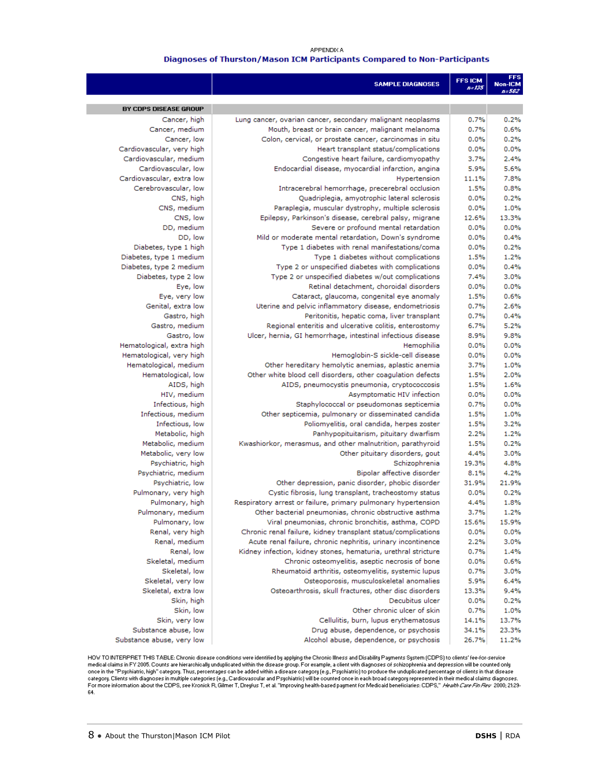#### APPENDIX A

#### Diagnoses of Thurston/Mason ICM Participants Compared to Non-Participants

|                                                  | <b>SAMPLE DIAGNOSES</b>                                                                                | <b>FFSICM</b><br>n=135 | <b>Non-ICM</b><br>$B = 502$ |
|--------------------------------------------------|--------------------------------------------------------------------------------------------------------|------------------------|-----------------------------|
|                                                  |                                                                                                        |                        |                             |
| BY CDPS DISEASE GROUP                            |                                                                                                        |                        |                             |
| Cancer, high                                     | Lung cancer, ovarian cancer, secondary malignant neoplasms                                             | 0.7%                   | 0.2%                        |
| Cancer, medium                                   | Mouth, breast or brain cancer, malignant melanoma                                                      | 0.7%                   | 0.6%                        |
| Cancer, low                                      | Colon, cervical, or prostate cancer, carcinomas in situ                                                | 0.0%                   | 0.2%                        |
| Cardiovascular, very high                        | Heart transplant status/complications                                                                  | 0.0%                   | 0.0%                        |
| Cardiovascular, medium                           | Congestive heart failure, cardiomyopathy                                                               | 3.7%                   | 2.4%                        |
| Cardiovascular, low                              | Endocardial disease, myocardial infarction, angina                                                     | 5.9%                   | 5.6%                        |
| Cardiovascular, extra low                        | Hypertension                                                                                           | 11.1%                  | 7.8%                        |
| Cerebrovascular, low                             | Intracerebral hemorrhage, precerebral occlusion                                                        | 1.5%                   | 0.8%                        |
| CNS, high                                        | Quadriplegia, amyotrophic lateral sclerosis                                                            | 0.0%                   | 0.2%                        |
| CNS, medium                                      | Paraplegia, muscular dystrophy, multiple sclerosis                                                     | 0.0%                   | 1.0%                        |
| CNS, low                                         | Epilepsy, Parkinson's disease, cerebral palsy, migrane                                                 | 12.6%                  | 13.3%                       |
| DD, medium                                       | Severe or profound mental retardation                                                                  | 0.0%                   | 0.0%                        |
| DD, low                                          | Mild or moderate mental retardation, Down's syndrome<br>Type 1 diabetes with renal manifestations/coma | 0.0%<br>0.0%           | 0.4%<br>0.2%                |
| Diabetes, type 1 high<br>Diabetes, type 1 medium | Type 1 diabetes without complications                                                                  | 1.5%                   | 1.2%                        |
| Diabetes, type 2 medium                          | Type 2 or unspecified diabetes with complications                                                      | 0.0%                   | 0.4%                        |
| Diabetes, type 2 low                             | Type 2 or unspecified diabetes w/out complications                                                     | 7.4%                   | 3.0%                        |
| Eye, low                                         | Retinal detachment, choroidal disorders                                                                | 0.0%                   | 0.0%                        |
| Eye, very low                                    | Cataract, glaucoma, congenital eye anomaly                                                             | 1.5%                   | 0.6%                        |
| Genital, extra low                               | Uterine and pelvic inflammatory disease, endometriosis                                                 | 0.7%                   | 2.6%                        |
| Gastro, high                                     | Peritonitis, hepatic coma, liver transplant                                                            | 0.7%                   | 0.4%                        |
| Gastro, medium                                   | Regional enteritis and ulcerative colitis, enterostomy                                                 | 6.7%                   | 5.2%                        |
| Gastro, low                                      | Ulcer, hernia, GI hemorrhage, intestinal infectious disease                                            | 8.9%                   | 9.8%                        |
| Hematological, extra high                        | Hemophilia                                                                                             | 0.0%                   | 0.0%                        |
| Hematological, very high                         | Hemoglobin-S sickle-cell disease                                                                       | 0.0%                   | 0.0%                        |
| Hematological, medium                            | Other hereditary hemolytic anemias, aplastic anemia                                                    | 3.7%                   | 1.0%                        |
| Hematological, low                               | Other white blood cell disorders, other coagulation defects                                            | 1.5%                   | 2.0%                        |
| AIDS, high                                       | AIDS, pneumocystis pneumonia, cryptococcosis                                                           | 1.5%                   | 1.6%                        |
| HIV, medium                                      | Asymptomatic HIV infection                                                                             | 0.0%                   | 0.0%                        |
| Infectious, high                                 | Staphylococcal or pseudomonas septicemia                                                               | 0.7%                   | 0.0%                        |
| Infectious, medium                               | Other septicemia, pulmonary or disseminated candida                                                    | 1.5%                   | 1.0%                        |
| Infectious, low                                  | Poliomyelitis, oral candida, herpes zoster                                                             | 1.5%                   | 3.2%                        |
| Metabolic, high                                  | Panhypopituitarism, pituitary dwarfism                                                                 | 2.2%                   | 1.2%                        |
| Metabolic, medium                                | Kwashiorkor, merasmus, and other malnutrition, parathyroid                                             | 1.5%                   | 0.2%                        |
| Metabolic, very low                              | Other pituitary disorders, gout                                                                        | 4.4%                   | 3.0%                        |
| Psychiatric, high                                | Schizophrenia                                                                                          | 19.3%                  | 4.8%                        |
| Psychiatric, medium                              | Bipolar affective disorder                                                                             | 8.1%                   | 4.2%                        |
| Psychiatric, low                                 | Other depression, panic disorder, phobic disorder                                                      | 31.9%                  | 21.9%                       |
| Pulmonary, very high                             | Cystic fibrosis, lung transplant, tracheostomy status                                                  | 0.0%                   | 0.2%                        |
| Pulmonary, high                                  | Respiratory arrest or failure, primary pulmonary hypertension                                          | 4.4%                   | 1.8%                        |
| Pulmonary, medium                                | Other bacterial pneumonias, chronic obstructive asthma                                                 | 3.7%                   | 1.2%                        |
| Pulmonary, low                                   | Viral pneumonias, chronic bronchitis, asthma, COPD                                                     | 15.6%                  | 15.9%                       |
| Renal, very high                                 | Chronic renal failure, kidney transplant status/complications                                          | 0.0%                   | 0.0%                        |
| Renal, medium                                    | Acute renal failure, chronic nephritis, urinary incontinence                                           | 2.2%                   | 3.0%                        |
| Renal, low                                       | Kidney infection, kidney stones, hematuria, urethral stricture                                         | 0.7%                   | 1.4%                        |
| Skeletal, medium                                 | Chronic osteomyelitis, aseptic necrosis of bone                                                        | 0.0%                   | 0.6%                        |
| Skeletal, low<br>Skeletal, very low              | Rheumatoid arthritis, osteomyelitis, systemic lupus<br>Osteoporosis, musculoskeletal anomalies         | 0.7%<br>5.9%           | 3.0%<br>6.4%                |
| Skeletal, extra low                              | Osteoarthrosis, skull fractures, other disc disorders                                                  | 13.3%                  | 9.4%                        |
| Skin, high                                       | Decubitus ulcer                                                                                        | 0.0%                   | 0.2%                        |
| Skin, low                                        | Other chronic ulcer of skin                                                                            | 0.7%                   | 1.0%                        |
| Skin, very low                                   | Cellulitis, burn, lupus erythematosus                                                                  | 14.1%                  | 13.7%                       |
| Substance abuse, low                             | Drug abuse, dependence, or psychosis                                                                   | 34.1%                  | 23.3%                       |
| Substance abuse, very low                        | Alcohol abuse, dependence, or psychosis                                                                | 26.7%                  | 11.2%                       |
|                                                  |                                                                                                        |                        |                             |

HOW TO INTERPRET THIS TABLE: Chronic disease conditions were identified by applying the Chronic Illness and Disability Payments System (CDPS) to clients' fee-for-service<br>medical claims in FY 2005. Counts are hierarchically once in the "Psychiatric, high" category. Thus, percentages can be added within a disease category [e.g., Psychiatric) to produce the unduplicated percentage of clients in that disease<br>category. Clients with diagnoses in m 64.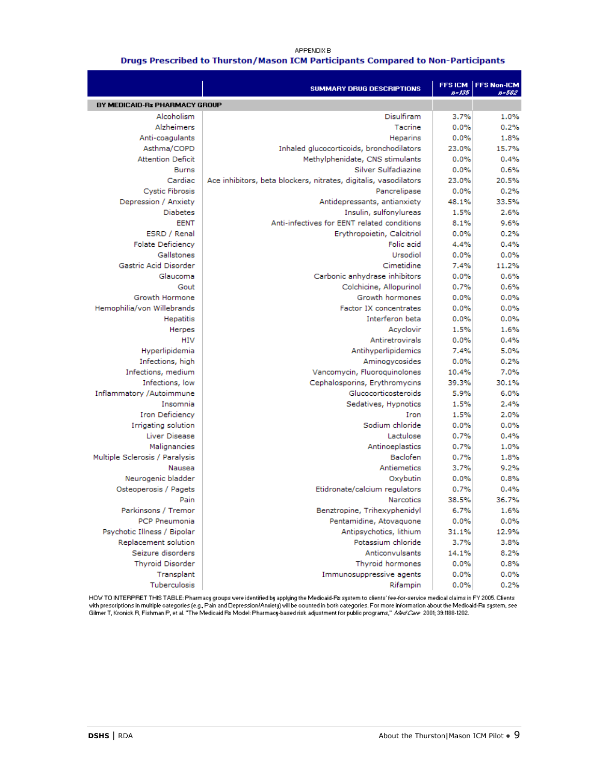#### **APPENDIX B**

#### Drugs Prescribed to Thurston/Mason ICM Participants Compared to Non-Participants

|                                | <b>SUMMARY DRUG DESCRIPTIONS</b>                                 | n=135 | FFS ICM   FFS Non-ICM<br>$0 - 502$ |
|--------------------------------|------------------------------------------------------------------|-------|------------------------------------|
| BY MEDICAID-Rx PHARMACY GROUP  |                                                                  |       |                                    |
| Alcoholism                     | Disulfiram                                                       | 3.7%  | 1.0%                               |
| Alzheimers                     | Tacrine                                                          | 0.0%  | 0.2%                               |
| Anti-coagulants                | Heparins                                                         | 0.0%  | 1.8%                               |
| Asthma/COPD                    | Inhaled glucocorticoids, bronchodilators                         | 23.0% | 15.7%                              |
| <b>Attention Deficit</b>       | Methylphenidate, CNS stimulants                                  | 0.0%  | 0.4%                               |
| <b>Burns</b>                   | Silver Sulfadiazine                                              | 0.0%  | 0.6%                               |
| Cardiac                        | Ace inhibitors, beta blockers, nitrates, digitalis, vasodilators | 23.0% | 20.5%                              |
| <b>Cystic Fibrosis</b>         | Pancrelipase                                                     | 0.0%  | 0.2%                               |
| Depression / Anxiety           | Antidepressants, antianxiety                                     | 48.1% | 33.5%                              |
| <b>Diabetes</b>                | Insulin, sulfonylureas                                           | 1.5%  | 2.6%                               |
| <b>EENT</b>                    | Anti-infectives for EENT related conditions                      | 8.1%  | 9.6%                               |
| ESRD / Renal                   | Erythropoietin, Calcitriol                                       | 0.0%  | 0.2%                               |
| <b>Folate Deficiency</b>       | Folic acid                                                       | 4.4%  | 0.4%                               |
| Gallstones                     | Ursodiol                                                         | 0.0%  | 0.0%                               |
| Gastric Acid Disorder          | Cimetidine                                                       | 7.4%  | 11.2%                              |
| Glaucoma                       | Carbonic anhydrase inhibitors                                    | 0.0%  | 0.6%                               |
| Gout                           | Colchicine, Allopurinol                                          | 0.7%  | 0.6%                               |
| Growth Hormone                 | Growth hormones                                                  | 0.0%  | 0.0%                               |
| Hemophilia/von Willebrands     | <b>Factor IX concentrates</b>                                    | 0.0%  | 0.0%                               |
| <b>Hepatitis</b>               | Interferon beta                                                  | 0.0%  | 0.0%                               |
| Herpes                         | Acyclovir                                                        | 1.5%  | 1.6%                               |
| HIV                            | Antiretrovirals                                                  | 0.0%  | 0.4%                               |
| Hyperlipidemia                 | Antihyperlipidemics                                              | 7.4%  | 5.0%                               |
| Infections, high               | Aminogycosides                                                   | 0.0%  | 0.2%                               |
| Infections, medium             | Vancomycin, Fluoroquinolones                                     | 10.4% | 7.0%                               |
| Infections, low                | Cephalosporins, Erythromycins                                    | 39.3% | 30.1%                              |
| Inflammatory /Autoimmune       | Glucocorticosteroids                                             | 5.9%  | 6.0%                               |
| Insomnia                       | Sedatives, Hypnotics                                             | 1.5%  | 2.4%                               |
| <b>Iron Deficiency</b>         | Iron                                                             | 1.5%  | 2.0%                               |
| Irrigating solution            | Sodium chloride                                                  | 0.0%  | 0.0%                               |
| Liver Disease                  | Lactulose                                                        | 0.7%  | 0.4%                               |
| Malignancies                   | Antinoeplastics                                                  | 0.7%  | 1.0%                               |
| Multiple Sclerosis / Paralysis | Baclofen                                                         | 0.7%  | 1.8%                               |
| Nausea                         | Antiemetics                                                      | 3.7%  | 9.2%                               |
| Neurogenic bladder             | Oxybutin                                                         | 0.0%  | 0.8%                               |
| Osteoperosis / Pagets          | Etidronate/calcium regulators                                    | 0.7%  | 0.4%                               |
| Pain                           | <b>Narcotics</b>                                                 | 38.5% | 36.7%                              |
| Parkinsons / Tremor            | Benztropine, Trihexyphenidyl                                     | 6.7%  | 1.6%                               |
| PCP Pneumonia                  | Pentamidine, Atovaquone                                          | 0.0%  | 0.0%                               |
| Psychotic Illness / Bipolar    | Antipsychotics, lithium                                          | 31.1% | 12.9%                              |
| Replacement solution           | Potassium chloride                                               | 3.7%  | 3.8%                               |
| Seizure disorders              | Anticonvulsants                                                  | 14.1% | 8.2%                               |
| <b>Thyroid Disorder</b>        | Thyroid hormones                                                 | 0.0%  | 0.8%                               |
| Transplant                     | Immunosuppressive agents                                         | 0.0%  | 0.0%                               |
| Tuberculosis                   | Rifampin                                                         | 0.0%  | 0.2%                               |

HOW TO INTERPRET THIS TABLE: Pharmacy groups were identified by applying the Medicaid-Rx system to clients' fee-for-service medical claims in FY 2005. Clients<br>with prescriptions in multiple categories (e.g., Pain and Depre